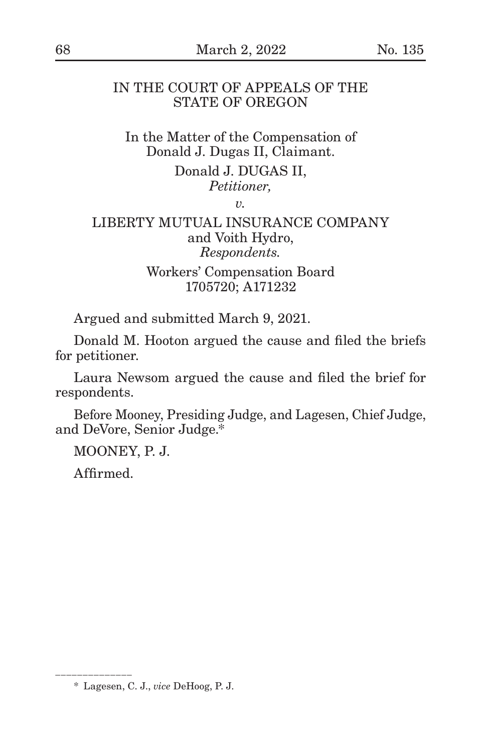# IN THE COURT OF APPEALS OF THE STATE OF OREGON

In the Matter of the Compensation of Donald J. Dugas II, Claimant.

> Donald J. DUGAS II, *Petitioner,*

> > *v.*

## LIBERTY MUTUAL INSURANCE COMPANY and Voith Hydro, *Respondents.*

Workers' Compensation Board 1705720; A171232

Argued and submitted March 9, 2021.

Donald M. Hooton argued the cause and filed the briefs for petitioner.

Laura Newsom argued the cause and filed the brief for respondents.

Before Mooney, Presiding Judge, and Lagesen, Chief Judge, and DeVore, Senior Judge.\*

MOONEY, P. J.

Affirmed.

\_\_\_\_\_\_\_\_\_\_\_\_\_\_\_\_\_\_

<sup>\*</sup> Lagesen, C. J., *vice* DeHoog, P. J.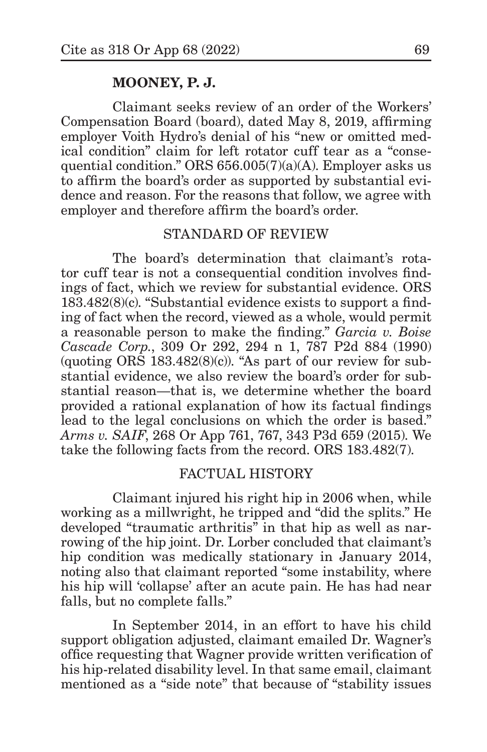## **MOONEY, P. J.**

Claimant seeks review of an order of the Workers' Compensation Board (board), dated May 8, 2019, affirming employer Voith Hydro's denial of his "new or omitted medical condition" claim for left rotator cuff tear as a "consequential condition." ORS 656.005(7)(a)(A). Employer asks us to affirm the board's order as supported by substantial evidence and reason. For the reasons that follow, we agree with employer and therefore affirm the board's order.

## STANDARD OF REVIEW

The board's determination that claimant's rotator cuff tear is not a consequential condition involves findings of fact, which we review for substantial evidence. ORS 183.482(8)(c). "Substantial evidence exists to support a finding of fact when the record, viewed as a whole, would permit a reasonable person to make the finding." *Garcia v. Boise Cascade Corp.*, 309 Or 292, 294 n 1, 787 P2d 884 (1990) (quoting  $OR\bar{S}$  183.482 $(8)(c)$ ). "As part of our review for substantial evidence, we also review the board's order for substantial reason—that is, we determine whether the board provided a rational explanation of how its factual findings lead to the legal conclusions on which the order is based." *Arms v. SAIF*, 268 Or App 761, 767, 343 P3d 659 (2015). We take the following facts from the record. ORS 183.482(7).

## FACTUAL HISTORY

Claimant injured his right hip in 2006 when, while working as a millwright, he tripped and "did the splits." He developed "traumatic arthritis" in that hip as well as narrowing of the hip joint. Dr. Lorber concluded that claimant's hip condition was medically stationary in January 2014, noting also that claimant reported "some instability, where his hip will 'collapse' after an acute pain. He has had near falls, but no complete falls."

In September 2014, in an effort to have his child support obligation adjusted, claimant emailed Dr. Wagner's office requesting that Wagner provide written verification of his hip-related disability level. In that same email, claimant mentioned as a "side note" that because of "stability issues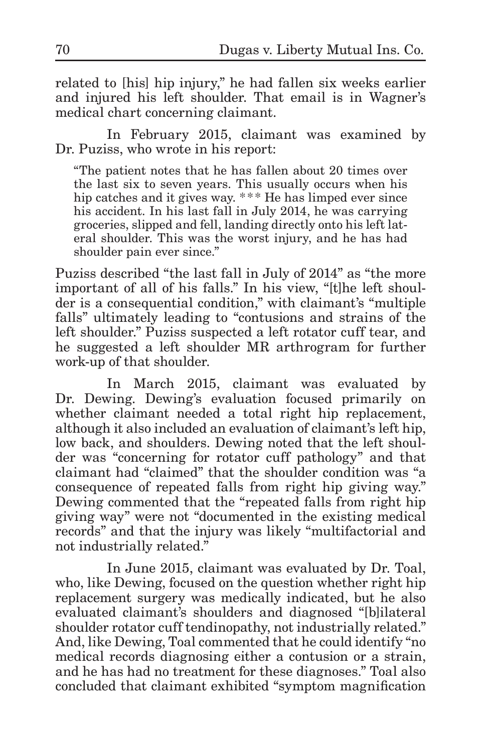related to [his] hip injury," he had fallen six weeks earlier and injured his left shoulder. That email is in Wagner's medical chart concerning claimant.

In February 2015, claimant was examined by Dr. Puziss, who wrote in his report:

"The patient notes that he has fallen about 20 times over the last six to seven years. This usually occurs when his hip catches and it gives way. \*\*\* He has limped ever since his accident. In his last fall in July 2014, he was carrying groceries, slipped and fell, landing directly onto his left lateral shoulder. This was the worst injury, and he has had shoulder pain ever since."

Puziss described "the last fall in July of 2014" as "the more important of all of his falls." In his view, "[t]he left shoulder is a consequential condition," with claimant's "multiple falls" ultimately leading to "contusions and strains of the left shoulder." Puziss suspected a left rotator cuff tear, and he suggested a left shoulder MR arthrogram for further work-up of that shoulder.

In March 2015, claimant was evaluated by Dr. Dewing. Dewing's evaluation focused primarily on whether claimant needed a total right hip replacement, although it also included an evaluation of claimant's left hip, low back, and shoulders. Dewing noted that the left shoulder was "concerning for rotator cuff pathology" and that claimant had "claimed" that the shoulder condition was "a consequence of repeated falls from right hip giving way." Dewing commented that the "repeated falls from right hip giving way" were not "documented in the existing medical records" and that the injury was likely "multifactorial and not industrially related."

In June 2015, claimant was evaluated by Dr. Toal, who, like Dewing, focused on the question whether right hip replacement surgery was medically indicated, but he also evaluated claimant's shoulders and diagnosed "[b]ilateral shoulder rotator cuff tendinopathy, not industrially related." And, like Dewing, Toal commented that he could identify "no medical records diagnosing either a contusion or a strain, and he has had no treatment for these diagnoses." Toal also concluded that claimant exhibited "symptom magnification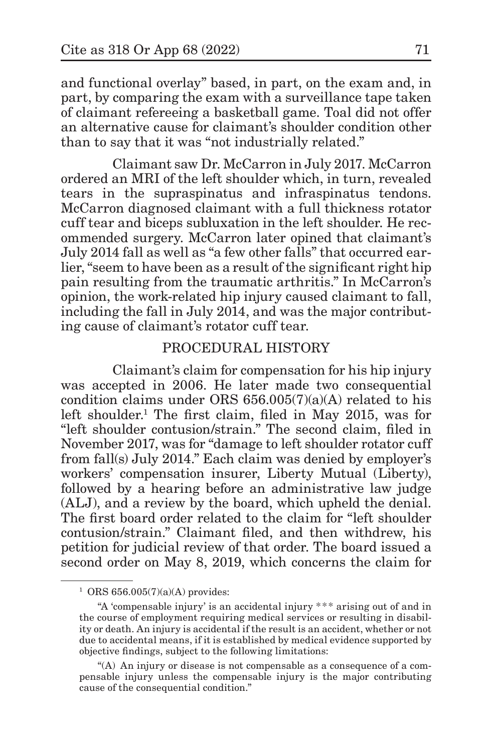and functional overlay" based, in part, on the exam and, in part, by comparing the exam with a surveillance tape taken of claimant refereeing a basketball game. Toal did not offer an alternative cause for claimant's shoulder condition other than to say that it was "not industrially related."

Claimant saw Dr. McCarron in July 2017. McCarron ordered an MRI of the left shoulder which, in turn, revealed tears in the supraspinatus and infraspinatus tendons. McCarron diagnosed claimant with a full thickness rotator cuff tear and biceps subluxation in the left shoulder. He recommended surgery. McCarron later opined that claimant's July 2014 fall as well as "a few other falls" that occurred earlier, "seem to have been as a result of the significant right hip pain resulting from the traumatic arthritis." In McCarron's opinion, the work-related hip injury caused claimant to fall, including the fall in July 2014, and was the major contributing cause of claimant's rotator cuff tear.

#### PROCEDURAL HISTORY

Claimant's claim for compensation for his hip injury was accepted in 2006. He later made two consequential condition claims under ORS 656.005(7)(a)(A) related to his left shoulder.<sup>1</sup> The first claim, filed in May 2015, was for "left shoulder contusion/strain." The second claim, filed in November 2017, was for "damage to left shoulder rotator cuff from fall(s) July 2014." Each claim was denied by employer's workers' compensation insurer, Liberty Mutual (Liberty), followed by a hearing before an administrative law judge (ALJ), and a review by the board, which upheld the denial. The first board order related to the claim for "left shoulder contusion/strain." Claimant filed, and then withdrew, his petition for judicial review of that order. The board issued a second order on May 8, 2019, which concerns the claim for

 $1$  ORS 656.005(7)(a)(A) provides:

<sup>&</sup>quot;A 'compensable injury' is an accidental injury \*\*\* arising out of and in the course of employment requiring medical services or resulting in disability or death. An injury is accidental if the result is an accident, whether or not due to accidental means, if it is established by medical evidence supported by objective findings, subject to the following limitations:

<sup>&</sup>quot;(A) An injury or disease is not compensable as a consequence of a compensable injury unless the compensable injury is the major contributing cause of the consequential condition."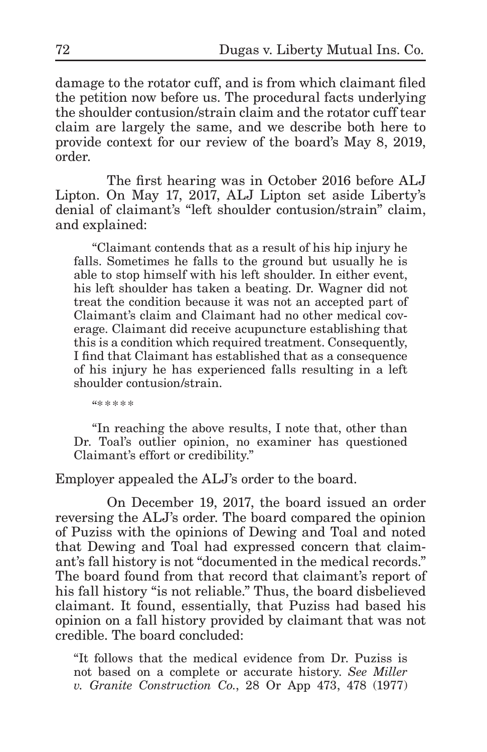damage to the rotator cuff, and is from which claimant filed the petition now before us. The procedural facts underlying the shoulder contusion/strain claim and the rotator cuff tear claim are largely the same, and we describe both here to provide context for our review of the board's May 8, 2019, order.

The first hearing was in October 2016 before ALJ Lipton. On May 17, 2017, ALJ Lipton set aside Liberty's denial of claimant's "left shoulder contusion/strain" claim, and explained:

"Claimant contends that as a result of his hip injury he falls. Sometimes he falls to the ground but usually he is able to stop himself with his left shoulder. In either event, his left shoulder has taken a beating. Dr. Wagner did not treat the condition because it was not an accepted part of Claimant's claim and Claimant had no other medical coverage. Claimant did receive acupuncture establishing that this is a condition which required treatment. Consequently, I find that Claimant has established that as a consequence of his injury he has experienced falls resulting in a left shoulder contusion/strain.

"\* \* \* \* \*

"In reaching the above results, I note that, other than Dr. Toal's outlier opinion, no examiner has questioned Claimant's effort or credibility."

Employer appealed the ALJ's order to the board.

On December 19, 2017, the board issued an order reversing the ALJ's order. The board compared the opinion of Puziss with the opinions of Dewing and Toal and noted that Dewing and Toal had expressed concern that claimant's fall history is not "documented in the medical records." The board found from that record that claimant's report of his fall history "is not reliable." Thus, the board disbelieved claimant. It found, essentially, that Puziss had based his opinion on a fall history provided by claimant that was not credible. The board concluded:

"It follows that the medical evidence from Dr. Puziss is not based on a complete or accurate history. *See Miller v. Granite Construction Co.*, 28 Or App 473, 478 (1977)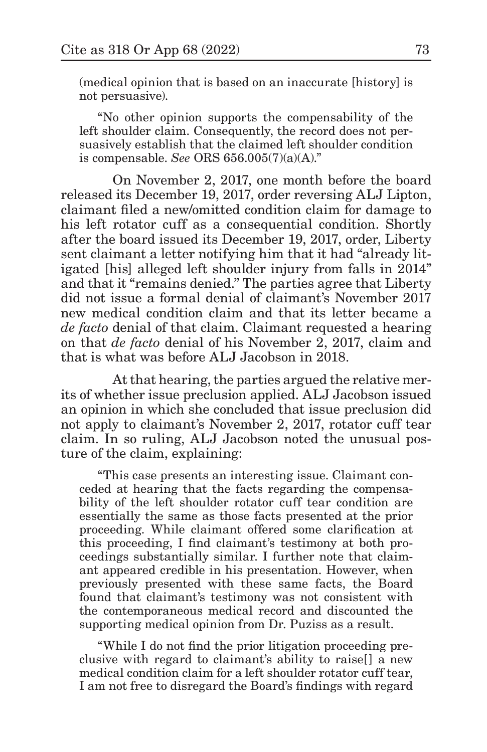(medical opinion that is based on an inaccurate [history] is not persuasive).

"No other opinion supports the compensability of the left shoulder claim. Consequently, the record does not persuasively establish that the claimed left shoulder condition is compensable. *See* ORS 656.005(7)(a)(A)."

On November 2, 2017, one month before the board released its December 19, 2017, order reversing ALJ Lipton, claimant filed a new/omitted condition claim for damage to his left rotator cuff as a consequential condition. Shortly after the board issued its December 19, 2017, order, Liberty sent claimant a letter notifying him that it had "already litigated [his] alleged left shoulder injury from falls in 2014" and that it "remains denied." The parties agree that Liberty did not issue a formal denial of claimant's November 2017 new medical condition claim and that its letter became a *de facto* denial of that claim. Claimant requested a hearing on that *de facto* denial of his November 2, 2017, claim and that is what was before ALJ Jacobson in 2018.

At that hearing, the parties argued the relative merits of whether issue preclusion applied. ALJ Jacobson issued an opinion in which she concluded that issue preclusion did not apply to claimant's November 2, 2017, rotator cuff tear claim. In so ruling, ALJ Jacobson noted the unusual posture of the claim, explaining:

"This case presents an interesting issue. Claimant conceded at hearing that the facts regarding the compensability of the left shoulder rotator cuff tear condition are essentially the same as those facts presented at the prior proceeding. While claimant offered some clarification at this proceeding, I find claimant's testimony at both proceedings substantially similar. I further note that claimant appeared credible in his presentation. However, when previously presented with these same facts, the Board found that claimant's testimony was not consistent with the contemporaneous medical record and discounted the supporting medical opinion from Dr. Puziss as a result.

"While I do not find the prior litigation proceeding preclusive with regard to claimant's ability to raise[] a new medical condition claim for a left shoulder rotator cuff tear, I am not free to disregard the Board's findings with regard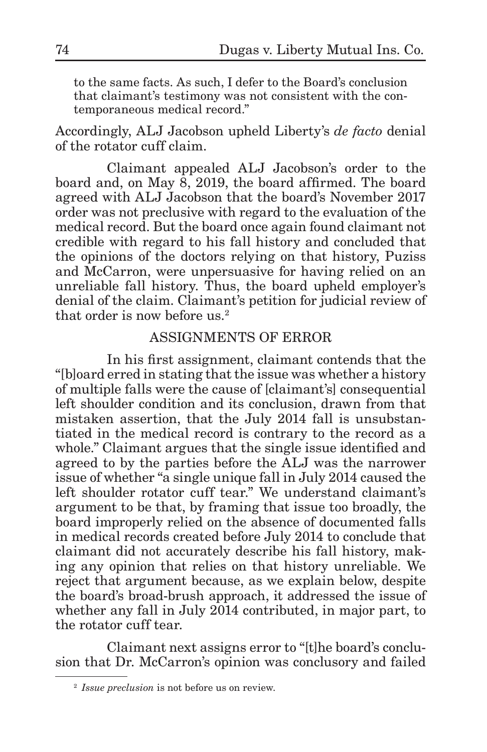to the same facts. As such, I defer to the Board's conclusion that claimant's testimony was not consistent with the contemporaneous medical record."

Accordingly, ALJ Jacobson upheld Liberty's *de facto* denial of the rotator cuff claim.

Claimant appealed ALJ Jacobson's order to the board and, on May 8, 2019, the board affirmed. The board agreed with ALJ Jacobson that the board's November 2017 order was not preclusive with regard to the evaluation of the medical record. But the board once again found claimant not credible with regard to his fall history and concluded that the opinions of the doctors relying on that history, Puziss and McCarron, were unpersuasive for having relied on an unreliable fall history. Thus, the board upheld employer's denial of the claim. Claimant's petition for judicial review of that order is now before us.2

# ASSIGNMENTS OF ERROR

In his first assignment, claimant contends that the "[b]oard erred in stating that the issue was whether a history of multiple falls were the cause of [claimant's] consequential left shoulder condition and its conclusion, drawn from that mistaken assertion, that the July 2014 fall is unsubstantiated in the medical record is contrary to the record as a whole." Claimant argues that the single issue identified and agreed to by the parties before the ALJ was the narrower issue of whether "a single unique fall in July 2014 caused the left shoulder rotator cuff tear." We understand claimant's argument to be that, by framing that issue too broadly, the board improperly relied on the absence of documented falls in medical records created before July 2014 to conclude that claimant did not accurately describe his fall history, making any opinion that relies on that history unreliable. We reject that argument because, as we explain below, despite the board's broad-brush approach, it addressed the issue of whether any fall in July 2014 contributed, in major part, to the rotator cuff tear.

Claimant next assigns error to "[t]he board's conclusion that Dr. McCarron's opinion was conclusory and failed

<sup>2</sup> *Issue preclusion* is not before us on review.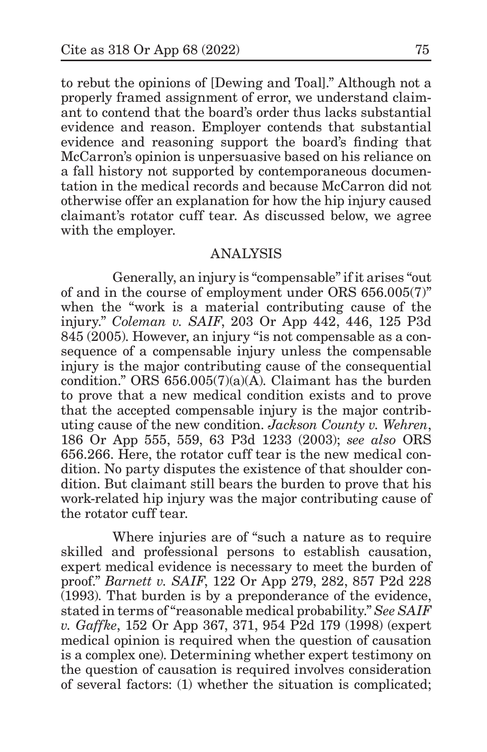to rebut the opinions of [Dewing and Toal]." Although not a properly framed assignment of error, we understand claimant to contend that the board's order thus lacks substantial evidence and reason. Employer contends that substantial evidence and reasoning support the board's finding that McCarron's opinion is unpersuasive based on his reliance on a fall history not supported by contemporaneous documentation in the medical records and because McCarron did not otherwise offer an explanation for how the hip injury caused claimant's rotator cuff tear. As discussed below, we agree with the employer.

## ANALYSIS

Generally, an injury is "compensable" if it arises "out of and in the course of employment under ORS 656.005(7)" when the "work is a material contributing cause of the injury." *Coleman v. SAIF*, 203 Or App 442, 446, 125 P3d 845 (2005). However, an injury "is not compensable as a consequence of a compensable injury unless the compensable injury is the major contributing cause of the consequential condition." ORS 656.005(7)(a)(A). Claimant has the burden to prove that a new medical condition exists and to prove that the accepted compensable injury is the major contributing cause of the new condition. *Jackson County v. Wehren*, 186 Or App 555, 559, 63 P3d 1233 (2003); *see also* ORS 656.266. Here, the rotator cuff tear is the new medical condition. No party disputes the existence of that shoulder condition. But claimant still bears the burden to prove that his work-related hip injury was the major contributing cause of the rotator cuff tear.

Where injuries are of "such a nature as to require skilled and professional persons to establish causation, expert medical evidence is necessary to meet the burden of proof." *Barnett v. SAIF*, 122 Or App 279, 282, 857 P2d 228 (1993). That burden is by a preponderance of the evidence, stated in terms of "reasonable medical probability." *See SAIF v. Gaffke*, 152 Or App 367, 371, 954 P2d 179 (1998) (expert medical opinion is required when the question of causation is a complex one). Determining whether expert testimony on the question of causation is required involves consideration of several factors: (1) whether the situation is complicated;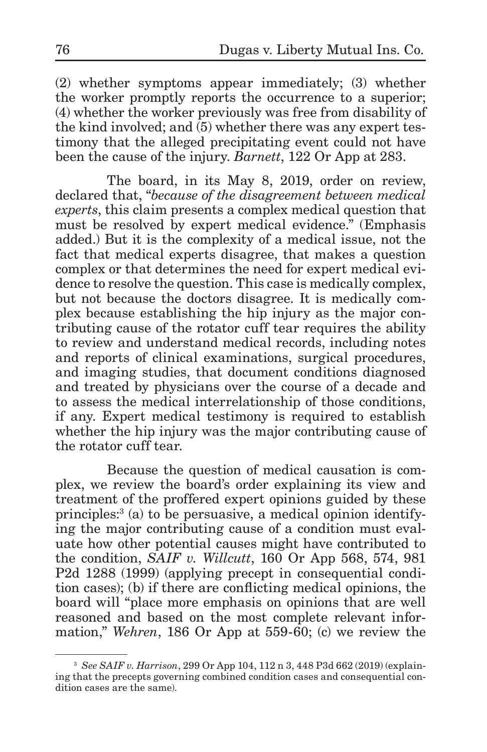(2) whether symptoms appear immediately; (3) whether the worker promptly reports the occurrence to a superior; (4) whether the worker previously was free from disability of the kind involved; and (5) whether there was any expert testimony that the alleged precipitating event could not have been the cause of the injury. *Barnett*, 122 Or App at 283.

The board, in its May 8, 2019, order on review, declared that, "*because of the disagreement between medical experts*, this claim presents a complex medical question that must be resolved by expert medical evidence." (Emphasis added.) But it is the complexity of a medical issue, not the fact that medical experts disagree, that makes a question complex or that determines the need for expert medical evidence to resolve the question. This case is medically complex, but not because the doctors disagree. It is medically complex because establishing the hip injury as the major contributing cause of the rotator cuff tear requires the ability to review and understand medical records, including notes and reports of clinical examinations, surgical procedures, and imaging studies, that document conditions diagnosed and treated by physicians over the course of a decade and to assess the medical interrelationship of those conditions, if any. Expert medical testimony is required to establish whether the hip injury was the major contributing cause of the rotator cuff tear.

Because the question of medical causation is complex, we review the board's order explaining its view and treatment of the proffered expert opinions guided by these principles:3 (a) to be persuasive, a medical opinion identifying the major contributing cause of a condition must evaluate how other potential causes might have contributed to the condition, *SAIF v. Willcutt*, 160 Or App 568, 574, 981 P2d 1288 (1999) (applying precept in consequential condition cases); (b) if there are conflicting medical opinions, the board will "place more emphasis on opinions that are well reasoned and based on the most complete relevant information," *Wehren*, 186 Or App at 559-60; (c) we review the

<sup>3</sup> *See SAIF v. Harrison*, 299 Or App 104, 112 n 3, 448 P3d 662 (2019) (explaining that the precepts governing combined condition cases and consequential condition cases are the same).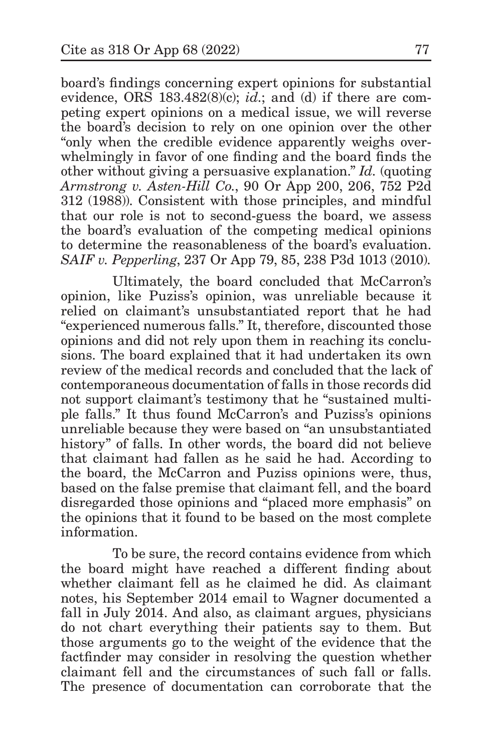board's findings concerning expert opinions for substantial evidence, ORS 183.482(8)(c); *id.*; and (d) if there are competing expert opinions on a medical issue, we will reverse the board's decision to rely on one opinion over the other "only when the credible evidence apparently weighs overwhelmingly in favor of one finding and the board finds the other without giving a persuasive explanation." *Id.* (quoting *Armstrong v. Asten-Hill Co.*, 90 Or App 200, 206, 752 P2d 312 (1988)). Consistent with those principles, and mindful that our role is not to second-guess the board, we assess the board's evaluation of the competing medical opinions to determine the reasonableness of the board's evaluation. *SAIF v. Pepperling*, 237 Or App 79, 85, 238 P3d 1013 (2010).

Ultimately, the board concluded that McCarron's opinion, like Puziss's opinion, was unreliable because it relied on claimant's unsubstantiated report that he had "experienced numerous falls." It, therefore, discounted those opinions and did not rely upon them in reaching its conclusions. The board explained that it had undertaken its own review of the medical records and concluded that the lack of contemporaneous documentation of falls in those records did not support claimant's testimony that he "sustained multiple falls." It thus found McCarron's and Puziss's opinions unreliable because they were based on "an unsubstantiated history" of falls. In other words, the board did not believe that claimant had fallen as he said he had. According to the board, the McCarron and Puziss opinions were, thus, based on the false premise that claimant fell, and the board disregarded those opinions and "placed more emphasis" on the opinions that it found to be based on the most complete information.

To be sure, the record contains evidence from which the board might have reached a different finding about whether claimant fell as he claimed he did. As claimant notes, his September 2014 email to Wagner documented a fall in July 2014. And also, as claimant argues, physicians do not chart everything their patients say to them. But those arguments go to the weight of the evidence that the factfinder may consider in resolving the question whether claimant fell and the circumstances of such fall or falls. The presence of documentation can corroborate that the